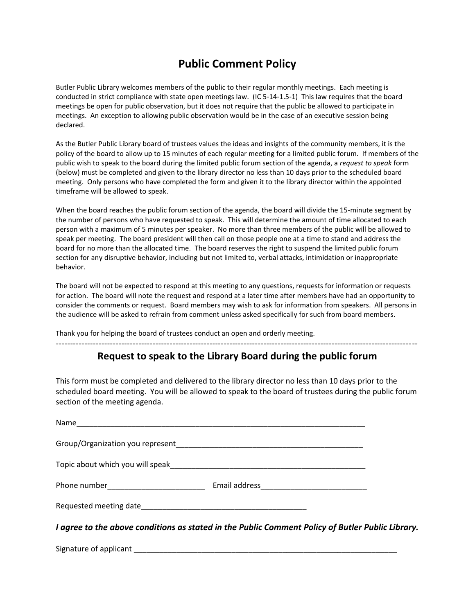## **Public Comment Policy**

Butler Public Library welcomes members of the public to their regular monthly meetings. Each meeting is conducted in strict compliance with state open meetings law. (IC 5-14-1.5-1) This law requires that the board meetings be open for public observation, but it does not require that the public be allowed to participate in meetings. An exception to allowing public observation would be in the case of an executive session being declared.

As the Butler Public Library board of trustees values the ideas and insights of the community members, it is the policy of the board to allow up to 15 minutes of each regular meeting for a limited public forum. If members of the public wish to speak to the board during the limited public forum section of the agenda, a *request to speak* form (below) must be completed and given to the library director no less than 10 days prior to the scheduled board meeting. Only persons who have completed the form and given it to the library director within the appointed timeframe will be allowed to speak.

When the board reaches the public forum section of the agenda, the board will divide the 15-minute segment by the number of persons who have requested to speak. This will determine the amount of time allocated to each person with a maximum of 5 minutes per speaker. No more than three members of the public will be allowed to speak per meeting. The board president will then call on those people one at a time to stand and address the board for no more than the allocated time. The board reserves the right to suspend the limited public forum section for any disruptive behavior, including but not limited to, verbal attacks, intimidation or inappropriate behavior.

The board will not be expected to respond at this meeting to any questions, requests for information or requests for action. The board will note the request and respond at a later time after members have had an opportunity to consider the comments or request. Board members may wish to ask for information from speakers. All persons in the audience will be asked to refrain from comment unless asked specifically for such from board members.

Thank you for helping the board of trustees conduct an open and orderly meeting.

## **Request to speak to the Library Board during the public forum**

-------------------------------------------------------------------------------------------------------------------------------

This form must be completed and delivered to the library director no less than 10 days prior to the scheduled board meeting. You will be allowed to speak to the board of trustees during the public forum section of the meeting agenda.

| Lagree to the above conditions as stated in the Public Comment Policy of Rutler Public Libr |  |
|---------------------------------------------------------------------------------------------|--|

*I agree to the above conditions as stated in the Public Comment Policy of Butler Public Library.*

Signature of applicant the state of state of  $\sim$